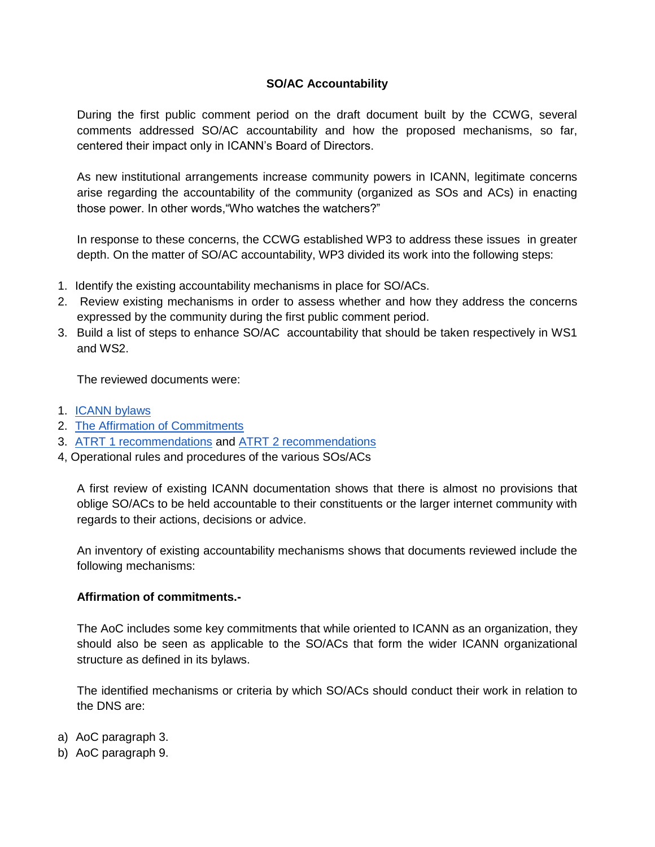## **SO/AC Accountability**

During the first public comment period on the draft document built by the CCWG, several comments addressed SO/AC accountability and how the proposed mechanisms, so far, centered their impact only in ICANN's Board of Directors.

As new institutional arrangements increase community powers in ICANN, legitimate concerns arise regarding the accountability of the community (organized as SOs and ACs) in enacting those power. In other words,"Who watches the watchers?"

In response to these concerns, the CCWG established WP3 to address these issues in greater depth. On the matter of SO/AC accountability, WP3 divided its work into the following steps:

- 1. Identify the existing accountability mechanisms in place for SO/ACs.
- 2. Review existing mechanisms in order to assess whether and how they address the concerns expressed by the community during the first public comment period.
- 3. Build a list of steps to enhance SO/AC accountability that should be taken respectively in WS1 and WS2.

The reviewed documents were:

- 1. [ICANN bylaws](https://www.icann.org/resources/pages/governance/bylaws-en)
- 2. [The Affirmation of Commitments](https://community.icann.org/download/attachments/53782997/affirmation-of-commitments-30sep09-en.pdf?version=1&modificationDate=1435911624000&api=v2)
- 3. [ATRT 1 recommendations](https://community.icann.org/download/attachments/53782997/final-recommendations-31dec10-en.pdf?version=1&modificationDate=1435911759000&api=v2) an[d](https://community.icann.org/download/attachments/53782997/final-recommendations-31dec13-en.pdf?version=1&modificationDate=1435911871000&api=v2) [ATRT 2 recommendations](https://community.icann.org/download/attachments/53782997/final-recommendations-31dec13-en.pdf?version=1&modificationDate=1435911871000&api=v2)
- 4, Operational rules and procedures of the various SOs/ACs

A first review of existing ICANN documentation shows that there is almost no provisions that oblige SO/ACs to be held accountable to their constituents or the larger internet community with regards to their actions, decisions or advice.

An inventory of existing accountability mechanisms shows that documents reviewed include the following mechanisms:

## **Affirmation of commitments.-**

The AoC includes some key commitments that while oriented to ICANN as an organization, they should also be seen as applicable to the SO/ACs that form the wider ICANN organizational structure as defined in its bylaws.

The identified mechanisms or criteria by which SO/ACs should conduct their work in relation to the DNS are:

- a) AoC paragraph 3.
- b) AoC paragraph 9.